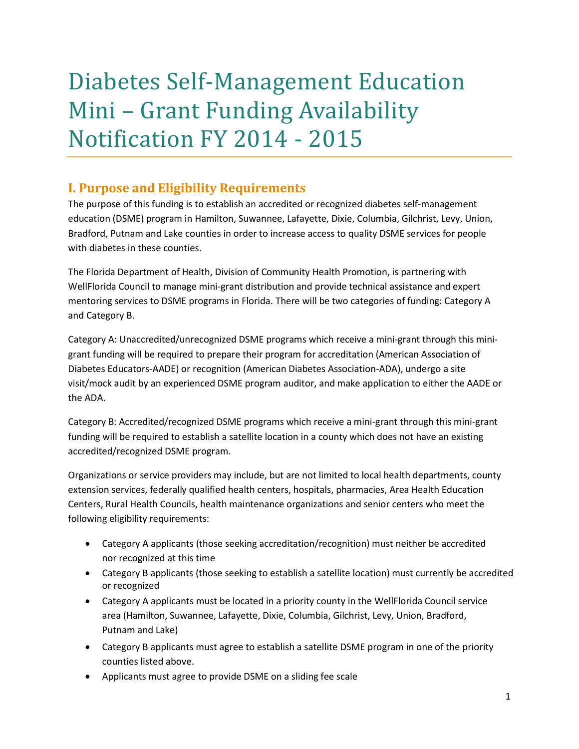# Diabetes Self-Management Education Mini – Grant Funding Availability Notification FY 2014 - 2015

# **I. Purpose and Eligibility Requirements**

The purpose of this funding is to establish an accredited or recognized diabetes self-management education (DSME) program in Hamilton, Suwannee, Lafayette, Dixie, Columbia, Gilchrist, Levy, Union, Bradford, Putnam and Lake counties in order to increase access to quality DSME services for people with diabetes in these counties.

The Florida Department of Health, Division of Community Health Promotion, is partnering with WellFlorida Council to manage mini-grant distribution and provide technical assistance and expert mentoring services to DSME programs in Florida. There will be two categories of funding: Category A and Category B.

Category A: Unaccredited/unrecognized DSME programs which receive a mini-grant through this minigrant funding will be required to prepare their program for accreditation (American Association of Diabetes Educators-AADE) or recognition (American Diabetes Association-ADA), undergo a site visit/mock audit by an experienced DSME program auditor, and make application to either the AADE or the ADA.

Category B: Accredited/recognized DSME programs which receive a mini-grant through this mini-grant funding will be required to establish a satellite location in a county which does not have an existing accredited/recognized DSME program.

Organizations or service providers may include, but are not limited to local health departments, county extension services, federally qualified health centers, hospitals, pharmacies, Area Health Education Centers, Rural Health Councils, health maintenance organizations and senior centers who meet the following eligibility requirements:

- Category A applicants (those seeking accreditation/recognition) must neither be accredited nor recognized at this time
- Category B applicants (those seeking to establish a satellite location) must currently be accredited or recognized
- Category A applicants must be located in a priority county in the WellFlorida Council service area (Hamilton, Suwannee, Lafayette, Dixie, Columbia, Gilchrist, Levy, Union, Bradford, Putnam and Lake)
- Category B applicants must agree to establish a satellite DSME program in one of the priority counties listed above.
- Applicants must agree to provide DSME on a sliding fee scale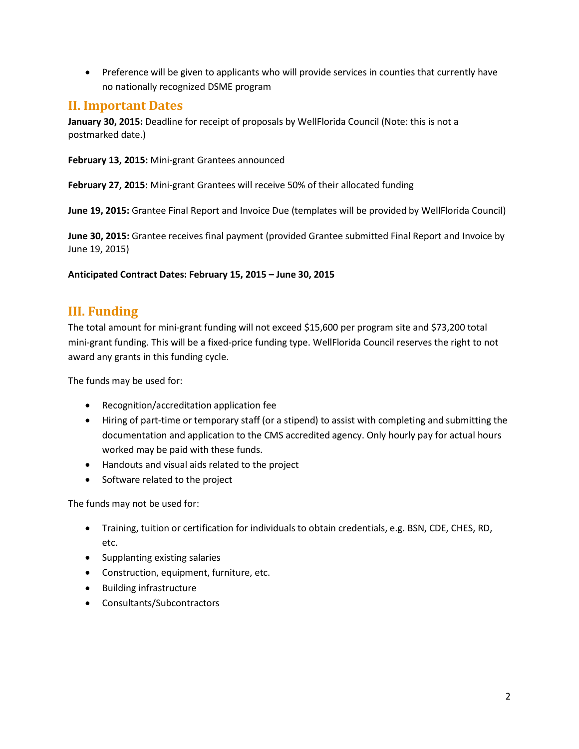• Preference will be given to applicants who will provide services in counties that currently have no nationally recognized DSME program

## **II. Important Dates**

**January 30, 2015:** Deadline for receipt of proposals by WellFlorida Council (Note: this is not a postmarked date.)

**February 13, 2015:** Mini-grant Grantees announced

**February 27, 2015:** Mini-grant Grantees will receive 50% of their allocated funding

**June 19, 2015:** Grantee Final Report and Invoice Due (templates will be provided by WellFlorida Council)

**June 30, 2015:** Grantee receives final payment (provided Grantee submitted Final Report and Invoice by June 19, 2015)

#### **Anticipated Contract Dates: February 15, 2015 – June 30, 2015**

# **III. Funding**

The total amount for mini-grant funding will not exceed \$15,600 per program site and \$73,200 total mini-grant funding. This will be a fixed-price funding type. WellFlorida Council reserves the right to not award any grants in this funding cycle.

The funds may be used for:

- Recognition/accreditation application fee
- Hiring of part-time or temporary staff (or a stipend) to assist with completing and submitting the documentation and application to the CMS accredited agency. Only hourly pay for actual hours worked may be paid with these funds.
- Handouts and visual aids related to the project
- Software related to the project

The funds may not be used for:

- Training, tuition or certification for individuals to obtain credentials, e.g. BSN, CDE, CHES, RD, etc.
- Supplanting existing salaries
- Construction, equipment, furniture, etc.
- Building infrastructure
- Consultants/Subcontractors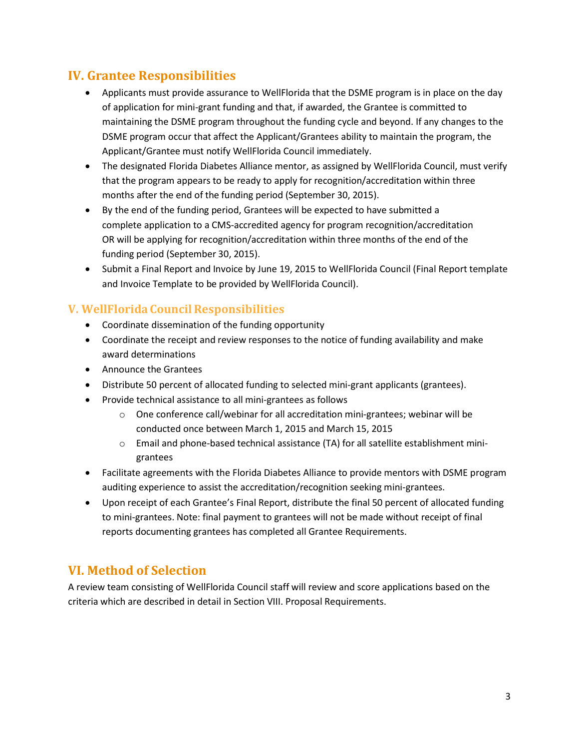# **IV. Grantee Responsibilities**

- Applicants must provide assurance to WellFlorida that the DSME program is in place on the day of application for mini-grant funding and that, if awarded, the Grantee is committed to maintaining the DSME program throughout the funding cycle and beyond. If any changes to the DSME program occur that affect the Applicant/Grantees ability to maintain the program, the Applicant/Grantee must notify WellFlorida Council immediately.
- The designated Florida Diabetes Alliance mentor, as assigned by WellFlorida Council, must verify that the program appears to be ready to apply for recognition/accreditation within three months after the end of the funding period (September 30, 2015).
- By the end of the funding period, Grantees will be expected to have submitted a complete application to a CMS-accredited agency for program recognition/accreditation OR will be applying for recognition/accreditation within three months of the end of the funding period (September 30, 2015).
- Submit a Final Report and Invoice by June 19, 2015 to WellFlorida Council (Final Report template and Invoice Template to be provided by WellFlorida Council).

#### **V. WellFloridaCouncilResponsibilities**

- Coordinate dissemination of the funding opportunity
- Coordinate the receipt and review responses to the notice of funding availability and make award determinations
- Announce the Grantees
- Distribute 50 percent of allocated funding to selected mini-grant applicants (grantees).
- Provide technical assistance to all mini-grantees as follows
	- o One conference call/webinar for all accreditation mini-grantees; webinar will be conducted once between March 1, 2015 and March 15, 2015
	- $\circ$  Email and phone-based technical assistance (TA) for all satellite establishment minigrantees
- Facilitate agreements with the Florida Diabetes Alliance to provide mentors with DSME program auditing experience to assist the accreditation/recognition seeking mini-grantees.
- Upon receipt of each Grantee's Final Report, distribute the final 50 percent of allocated funding to mini-grantees. Note: final payment to grantees will not be made without receipt of final reports documenting grantees has completed all Grantee Requirements.

# **VI. Method of Selection**

A review team consisting of WellFlorida Council staff will review and score applications based on the criteria which are described in detail in Section VIII. Proposal Requirements.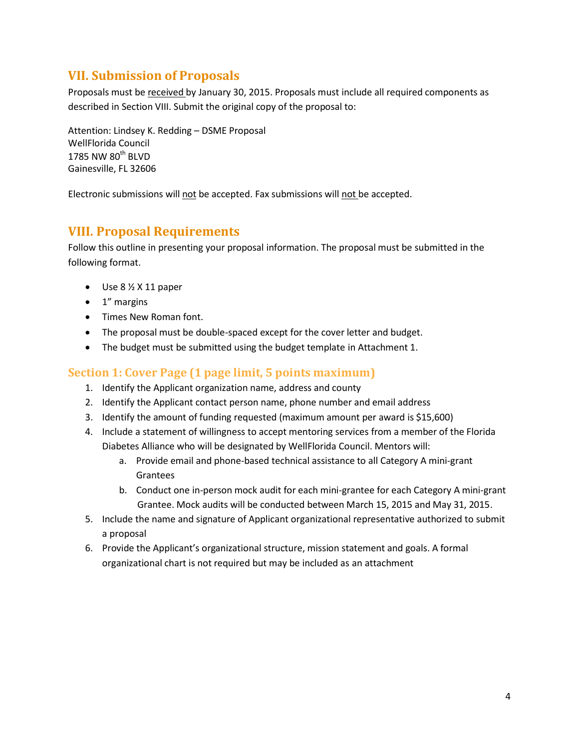# **VII. Submission of Proposals**

Proposals must be received by January 30, 2015. Proposals must include all required components as described in Section VIII. Submit the original copy of the proposal to:

Attention: Lindsey K. Redding – DSME Proposal WellFlorida Council  $1785$  NW  $80^{\rm th}$  BLVD Gainesville, FL 32606

Electronic submissions will not be accepted. Fax submissions will not be accepted.

### **VIII. Proposal Requirements**

Follow this outline in presenting your proposal information. The proposal must be submitted in the following format.

- $\bullet$  Use 8  $\frac{1}{2}$  X 11 paper
- 1" margins
- Times New Roman font.
- The proposal must be double-spaced except for the cover letter and budget.
- The budget must be submitted using the budget template in Attachment 1.

#### **Section 1: Cover Page (1 page limit, 5 points maximum)**

- 1. Identify the Applicant organization name, address and county
- 2. Identify the Applicant contact person name, phone number and email address
- 3. Identify the amount of funding requested (maximum amount per award is \$15,600)
- 4. Include a statement of willingness to accept mentoring services from a member of the Florida Diabetes Alliance who will be designated by WellFlorida Council. Mentors will:
	- a. Provide email and phone-based technical assistance to all Category A mini-grant Grantees
	- b. Conduct one in-person mock audit for each mini-grantee for each Category A mini-grant Grantee. Mock audits will be conducted between March 15, 2015 and May 31, 2015.
- 5. Include the name and signature of Applicant organizational representative authorized to submit a proposal
- 6. Provide the Applicant's organizational structure, mission statement and goals. A formal organizational chart is not required but may be included as an attachment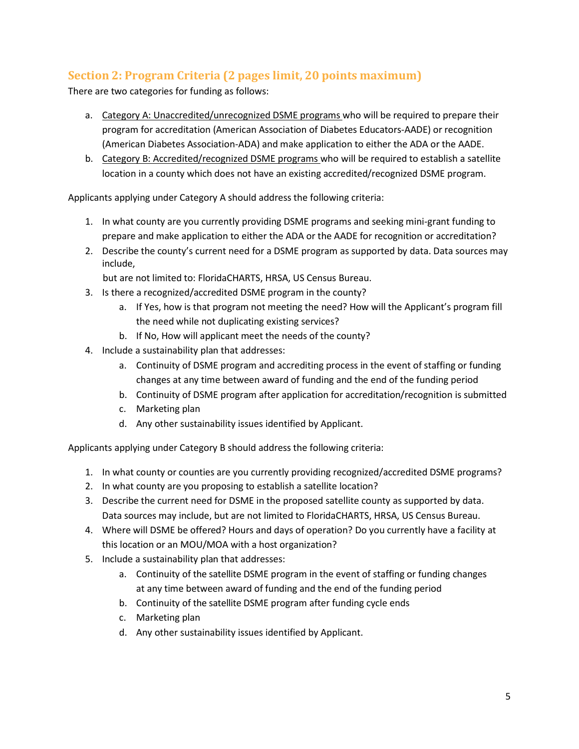# **Section 2: Program Criteria (2 pages limit, 20 points maximum)**

There are two categories for funding as follows:

- a. Category A: Unaccredited/unrecognized DSME programs who will be required to prepare their program for accreditation (American Association of Diabetes Educators-AADE) or recognition (American Diabetes Association-ADA) and make application to either the ADA or the AADE.
- b. Category B: Accredited/recognized DSME programs who will be required to establish a satellite location in a county which does not have an existing accredited/recognized DSME program.

Applicants applying under Category A should address the following criteria:

- 1. In what county are you currently providing DSME programs and seeking mini-grant funding to prepare and make application to either the ADA or the AADE for recognition or accreditation?
- 2. Describe the county's current need for a DSME program as supported by data. Data sources may include,

but are not limited to: FloridaCHARTS, HRSA, US Census Bureau.

- 3. Is there a recognized/accredited DSME program in the county?
	- a. If Yes, how is that program not meeting the need? How will the Applicant's program fill the need while not duplicating existing services?
	- b. If No, How will applicant meet the needs of the county?
- 4. Include a sustainability plan that addresses:
	- a. Continuity of DSME program and accrediting process in the event of staffing or funding changes at any time between award of funding and the end of the funding period
	- b. Continuity of DSME program after application for accreditation/recognition is submitted
	- c. Marketing plan
	- d. Any other sustainability issues identified by Applicant.

Applicants applying under Category B should address the following criteria:

- 1. In what county or counties are you currently providing recognized/accredited DSME programs?
- 2. In what county are you proposing to establish a satellite location?
- 3. Describe the current need for DSME in the proposed satellite county as supported by data. Data sources may include, but are not limited to FloridaCHARTS, HRSA, US Census Bureau.
- 4. Where will DSME be offered? Hours and days of operation? Do you currently have a facility at this location or an MOU/MOA with a host organization?
- 5. Include a sustainability plan that addresses:
	- a. Continuity of the satellite DSME program in the event of staffing or funding changes at any time between award of funding and the end of the funding period
	- b. Continuity of the satellite DSME program after funding cycle ends
	- c. Marketing plan
	- d. Any other sustainability issues identified by Applicant.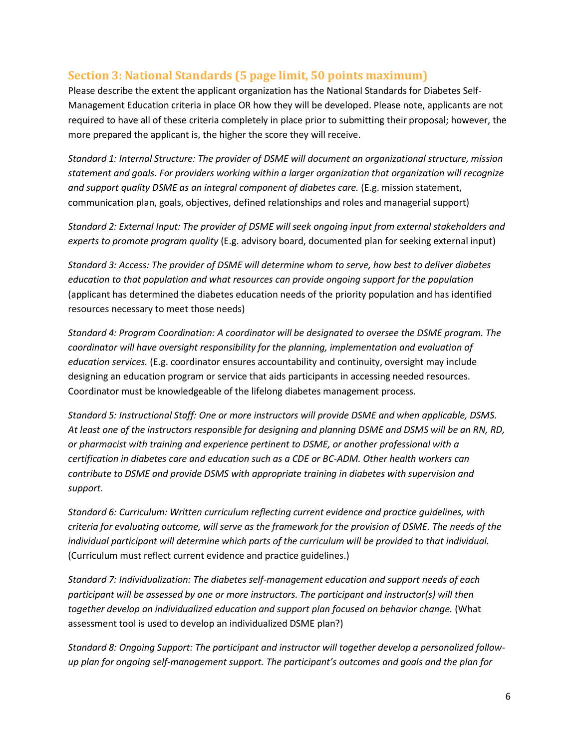#### **Section 3: National Standards (5 page limit, 50 points maximum)**

Please describe the extent the applicant organization has the National Standards for Diabetes Self-Management Education criteria in place OR how they will be developed. Please note, applicants are not required to have all of these criteria completely in place prior to submitting their proposal; however, the more prepared the applicant is, the higher the score they will receive.

*Standard 1: Internal Structure: The provider of DSME will document an organizational structure, mission statement and goals. For providers working within a larger organization that organization will recognize and support quality DSME as an integral component of diabetes care.* (E.g. mission statement, communication plan, goals, objectives, defined relationships and roles and managerial support)

*Standard 2: External Input: The provider of DSME will seek ongoing input from external stakeholders and experts to promote program quality* (E.g. advisory board, documented plan for seeking external input)

*Standard 3: Access: The provider of DSME will determine whom to serve, how best to deliver diabetes education to that population and what resources can provide ongoing support for the population*  (applicant has determined the diabetes education needs of the priority population and has identified resources necessary to meet those needs)

*Standard 4: Program Coordination: A coordinator will be designated to oversee the DSME program. The coordinator will have oversight responsibility for the planning, implementation and evaluation of education services.* (E.g. coordinator ensures accountability and continuity, oversight may include designing an education program or service that aids participants in accessing needed resources. Coordinator must be knowledgeable of the lifelong diabetes management process.

*Standard 5: Instructional Staff: One or more instructors will provide DSME and when applicable, DSMS. At least one of the instructors responsible for designing and planning DSME and DSMS will be an RN, RD, or pharmacist with training and experience pertinent to DSME, or another professional with a certification in diabetes care and education such as a CDE or BC-ADM. Other health workers can contribute to DSME and provide DSMS with appropriate training in diabetes with supervision and support.*

*Standard 6: Curriculum: Written curriculum reflecting current evidence and practice guidelines, with criteria for evaluating outcome, will serve as the framework for the provision of DSME. The needs of the individual participant will determine which parts of the curriculum will be provided to that individual.*  (Curriculum must reflect current evidence and practice guidelines.)

*Standard 7: Individualization: The diabetes self-management education and support needs of each participant will be assessed by one or more instructors. The participant and instructor(s) will then together develop an individualized education and support plan focused on behavior change.* (What assessment tool is used to develop an individualized DSME plan?)

*Standard 8: Ongoing Support: The participant and instructor will together develop a personalized followup plan for ongoing self-management support. The participant's outcomes and goals and the plan for*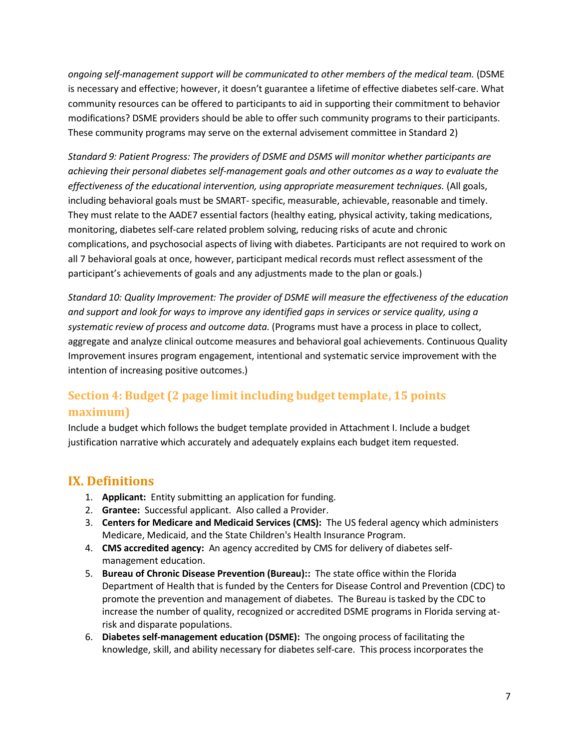*ongoing self-management support will be communicated to other members of the medical team.* (DSME is necessary and effective; however, it doesn't guarantee a lifetime of effective diabetes self-care. What community resources can be offered to participants to aid in supporting their commitment to behavior modifications? DSME providers should be able to offer such community programs to their participants. These community programs may serve on the external advisement committee in Standard 2)

*Standard 9: Patient Progress: The providers of DSME and DSMS will monitor whether participants are achieving their personal diabetes self-management goals and other outcomes as a way to evaluate the effectiveness of the educational intervention, using appropriate measurement techniques.* (All goals, including behavioral goals must be SMART- specific, measurable, achievable, reasonable and timely. They must relate to the AADE7 essential factors (healthy eating, physical activity, taking medications, monitoring, diabetes self-care related problem solving, reducing risks of acute and chronic complications, and psychosocial aspects of living with diabetes. Participants are not required to work on all 7 behavioral goals at once, however, participant medical records must reflect assessment of the participant's achievements of goals and any adjustments made to the plan or goals.)

*Standard 10: Quality Improvement: The provider of DSME will measure the effectiveness of the education and support and look for ways to improve any identified gaps in services or service quality, using a systematic review of process and outcome data.* (Programs must have a process in place to collect, aggregate and analyze clinical outcome measures and behavioral goal achievements. Continuous Quality Improvement insures program engagement, intentional and systematic service improvement with the intention of increasing positive outcomes.)

# **Section 4: Budget (2 page limit including budget template, 15 points maximum)**

Include a budget which follows the budget template provided in Attachment I. Include a budget justification narrative which accurately and adequately explains each budget item requested.

# **IX. Definitions**

- 1. **Applicant:** Entity submitting an application for funding.
- 2. **Grantee:** Successful applicant. Also called a Provider.
- 3. **Centers for Medicare and Medicaid Services (CMS):** The US federal agency which administers Medicare, Medicaid, and the State Children's Health Insurance Program.
- 4. **CMS accredited agency:** An agency accredited by CMS for delivery of diabetes selfmanagement education.
- 5. **Bureau of Chronic Disease Prevention (Bureau)::** The state office within the Florida Department of Health that is funded by the Centers for Disease Control and Prevention (CDC) to promote the prevention and management of diabetes. The Bureau is tasked by the CDC to increase the number of quality, recognized or accredited DSME programs in Florida serving atrisk and disparate populations.
- 6. **Diabetes self-management education (DSME):** The ongoing process of facilitating the knowledge, skill, and ability necessary for diabetes self-care. This process incorporates the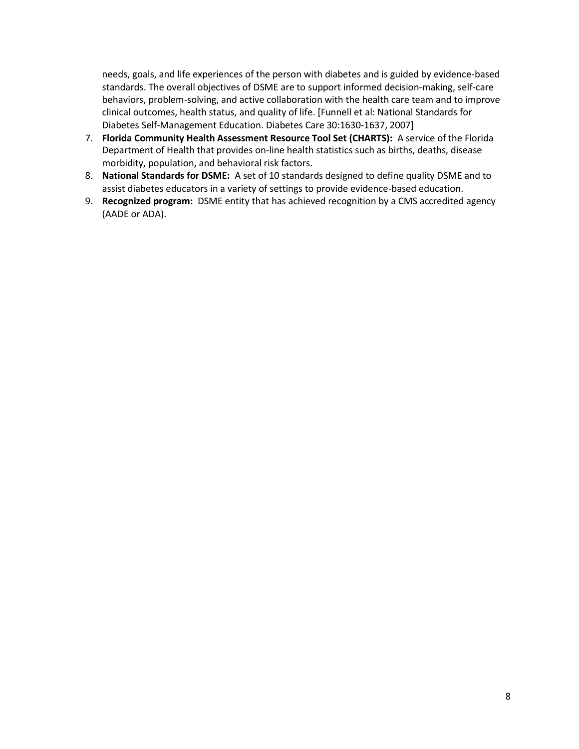needs, goals, and life experiences of the person with diabetes and is guided by evidence-based standards. The overall objectives of DSME are to support informed decision-making, self-care behaviors, problem-solving, and active collaboration with the health care team and to improve clinical outcomes, health status, and quality of life. [Funnell et al: National Standards for Diabetes Self-Management Education. Diabetes Care 30:1630-1637, 2007]

- 7. **Florida Community Health Assessment Resource Tool Set (CHARTS):** A service of the Florida Department of Health that provides on-line health statistics such as births, deaths, disease morbidity, population, and behavioral risk factors.
- 8. **National Standards for DSME:** A set of 10 standards designed to define quality DSME and to assist diabetes educators in a variety of settings to provide evidence-based education.
- 9. **Recognized program:** DSME entity that has achieved recognition by a CMS accredited agency (AADE or ADA).